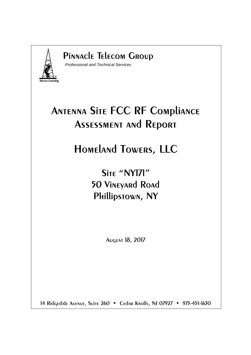

### Pinnacle Telecom Group

Professional and Technical Services

# Antenna Site FCC RF Compliance Assessment and Report

# Homeland Towers, LLC

## Site "NYI71" 50 Vineyard Road Phillipstown, NY

August 18, 2017

14 Ridgedale Avenue, Suite 260 • Cedar Knolls, NJ 07927 • 973-451-1630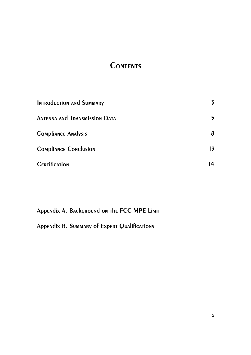### **CONTENTS**

| <b>INTRODUCTION AND SUMMARY</b>      | 3              |
|--------------------------------------|----------------|
| <b>ANTENNA AND TRANSMISSION DATA</b> | 5              |
| <b>COMPLIANCE ANALYSIS</b>           | 8              |
| <b>COMPLIANCE CONCLUSION</b>         | $\overline{1}$ |
| <b>CERTIFICATION</b>                 | 14             |

Appendix A. Background on the FCC MPE Limit

Appendix B. Summary of Expert Qualifications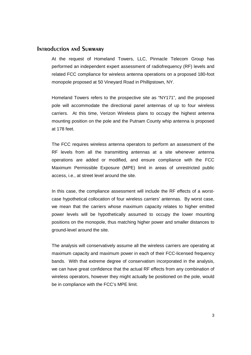#### Introduction and Summary

At the request of Homeland Towers, LLC, Pinnacle Telecom Group has performed an independent expert assessment of radiofrequency (RF) levels and related FCC compliance for wireless antenna operations on a proposed 180-foot monopole proposed at 50 Vineyard Road in Phillipstown, NY.

Homeland Towers refers to the prospective site as "NY171", and the proposed pole will accommodate the directional panel antennas of up to four wireless carriers. At this time, Verizon Wireless plans to occupy the highest antenna mounting position on the pole and the Putnam County whip antenna is proposed at 178 feet.

The FCC requires wireless antenna operators to perform an assessment of the RF levels from all the transmitting antennas at a site whenever antenna operations are added or modified, and ensure compliance with the FCC Maximum Permissible Exposure (MPE) limit in areas of unrestricted public access, i.e., at street level around the site.

In this case, the compliance assessment will include the RF effects of a worstcase hypothetical collocation of four wireless carriers' antennas. By worst case, we mean that the carriers whose maximum capacity relates to higher emitted power levels will be hypothetically assumed to occupy the lower mounting positions on the monopole, thus matching higher power and smaller distances to ground-level around the site.

The analysis will conservatively assume all the wireless carriers are operating at maximum capacity and maximum power in each of their FCC-licensed frequency bands. With that extreme degree of conservatism incorporated in the analysis, we can have great confidence that the actual RF effects from any combination of wireless operators, however they might actually be positioned on the pole, would be in compliance with the FCC's MPE limit.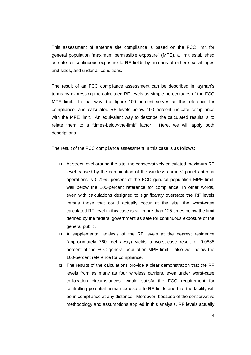This assessment of antenna site compliance is based on the FCC limit for general population "maximum permissible exposure" (MPE), a limit established as safe for continuous exposure to RF fields by humans of either sex, all ages and sizes, and under all conditions.

The result of an FCC compliance assessment can be described in layman's terms by expressing the calculated RF levels as simple percentages of the FCC MPE limit. In that way, the figure 100 percent serves as the reference for compliance, and calculated RF levels below 100 percent indicate compliance with the MPE limit. An equivalent way to describe the calculated results is to relate them to a "times-below-the-limit" factor. Here, we will apply both descriptions.

The result of the FCC compliance assessment in this case is as follows:

- At street level around the site, the conservatively calculated maximum RF level caused by the combination of the wireless carriers' panel antenna operations is 0.7955 percent of the FCC general population MPE limit, well below the 100-percent reference for compliance. In other words, even with calculations designed to significantly overstate the RF levels versus those that could actually occur at the site, the worst-case calculated RF level in this case is still more than 125 times below the limit defined by the federal government as safe for continuous exposure of the general public.
- A supplemental analysis of the RF levels at the nearest residence (approximately 760 feet away) yields a worst-case result of 0.0888 percent of the FCC general population MPE limit – also well below the 100-percent reference for compliance.
- □ The results of the calculations provide a clear demonstration that the RF levels from as many as four wireless carriers, even under worst-case collocation circumstances, would satisfy the FCC requirement for controlling potential human exposure to RF fields and that the facility will be in compliance at any distance. Moreover, because of the conservative methodology and assumptions applied in this analysis, RF levels actually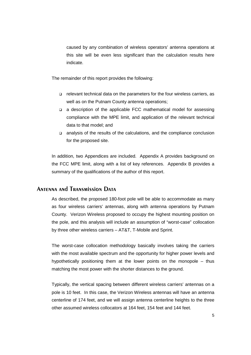caused by any combination of wireless operators' antenna operations at this site will be even less significant than the calculation results here indicate.

The remainder of this report provides the following:

- relevant technical data on the parameters for the four wireless carriers, as well as on the Putnam County antenna operations;
- a description of the applicable FCC mathematical model for assessing compliance with the MPE limit, and application of the relevant technical data to that model; and
- analysis of the results of the calculations, and the compliance conclusion for the proposed site.

In addition, two Appendices are included. Appendix A provides background on the FCC MPE limit, along with a list of key references. Appendix B provides a summary of the qualifications of the author of this report.

#### Antenna and Transmission Data

As described, the proposed 180-foot pole will be able to accommodate as many as four wireless carriers' antennas, along with antenna operations by Putnam County. Verizon Wireless proposed to occupy the highest mounting position on the pole, and this analysis will include an assumption of "worst-case" collocation by three other wireless carriers – AT&T, T-Mobile and Sprint.

The worst-case collocation methodology basically involves taking the carriers with the most available spectrum and the opportunity for higher power levels and hypothetically positioning them at the lower points on the monopole – thus matching the most power with the shorter distances to the ground.

Typically, the vertical spacing between different wireless carriers' antennas on a pole is 10 feet. In this case, the Verizon Wireless antennas will have an antenna centerline of 174 feet, and we will assign antenna centerline heights to the three other assumed wireless collocators at 164 feet, 154 feet and 144 feet.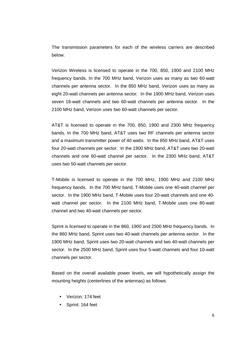The transmission parameters for each of the wireless carriers are described below.

Verizon Wireless is licensed to operate in the 700, 850, 1900 and 2100 MHz frequency bands. In the 700 MHz band, Verizon uses as many as two 60-watt channels per antenna sector. In the 850 MHz band, Verizon uses as many as eight 20-watt channels per antenna sector. In the 1900 MHz band, Verizon uses seven 16-watt channels and two 60-watt channels per antenna sector. In the 2100 MHz band, Verizon uses two 60-watt channels per sector.

AT&T is licensed to operate in the 700, 850, 1900 and 2300 MHz frequency bands. In the 700 MHz band, AT&T uses two RF channels per antenna sector and a maximum transmitter power of 40 watts. In the 850 MHz band, AT&T uses four 20-watt channels per sector. In the 1900 MHz band, AT&T uses two 20-watt channels and one 60-watt channel per sector. In the 2300 MHz band, AT&T uses two 50-watt channels per sector.

T-Mobile is licensed to operate in the 700 MHz, 1900 MHz and 2100 MHz frequency bands. In the 700 MHz band, T-Mobile uses one 40-watt channel per sector. In the 1900 MHz band, T-Mobile uses four 20-watt channels and one 40 watt channel per sector. In the 2100 MHz band, T-Mobile uses one 80-watt channel and two 40-watt channels per sector.

Sprint is licensed to operate in the 860, 1900 and 2500 MHz frequency bands. In the 860 MHz band, Sprint uses two 40-watt channels per antenna sector. In the 1900 MHz band, Sprint uses two 20-watt channels and two 40-watt channels per sector. In the 2500 MHz band, Sprint uses four 5-watt channels and four 10-watt channels per sector.

Based on the overall available power levels, we will hypothetically assign the mounting heights (centerlines of the antennas) as follows:

- Verizon: 174 feet
- Sprint: 164 feet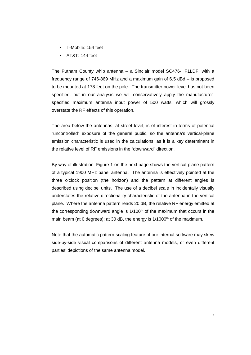- T-Mobile: 154 feet
- AT&T: 144 feet

The Putnam County whip antenna – a Sinclair model SC476-HF1LDF, with a frequency range of 746-869 MHz and a maximum gain of 6.5 dBd – is proposed to be mounted at 178 feet on the pole. The transmitter power level has not been specified, but in our analysis we will conservatively apply the manufacturerspecified maximum antenna input power of 500 watts, which will grossly overstate the RF effects of this operation.

The area below the antennas, at street level, is of interest in terms of potential "uncontrolled" exposure of the general public, so the antenna's vertical-plane emission characteristic is used in the calculations, as it is a key determinant in the relative level of RF emissions in the "downward" direction.

By way of illustration, Figure 1 on the next page shows the vertical-plane pattern of a typical 1900 MHz panel antenna. The antenna is effectively pointed at the three o'clock position (the horizon) and the pattern at different angles is described using decibel units. The use of a decibel scale in incidentally visually understates the relative directionality characteristic of the antenna in the vertical plane. Where the antenna pattern reads 20 dB, the relative RF energy emitted at the corresponding downward angle is  $1/100<sup>th</sup>$  of the maximum that occurs in the main beam (at 0 degrees); at 30 dB, the energy is  $1/1000<sup>th</sup>$  of the maximum.

Note that the automatic pattern-scaling feature of our internal software may skew side-by-side visual comparisons of different antenna models, or even different parties' depictions of the same antenna model.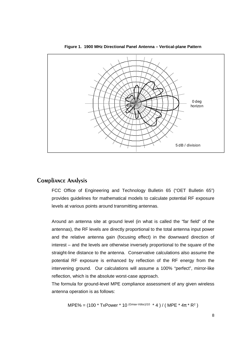

**Figure 1. 1900 MHz Directional Panel Antenna – Vertical-plane Pattern** 

#### Compliance Analysis

FCC Office of Engineering and Technology Bulletin 65 ("OET Bulletin 65") provides guidelines for mathematical models to calculate potential RF exposure levels at various points around transmitting antennas.

Around an antenna site at ground level (in what is called the "far field" of the antennas), the RF levels are directly proportional to the total antenna input power and the relative antenna gain (focusing effect) in the downward direction of interest – and the levels are otherwise inversely proportional to the square of the straight-line distance to the antenna. Conservative calculations also assume the potential RF exposure is enhanced by reflection of the RF energy from the intervening ground. Our calculations will assume a 100% "perfect", mirror-like reflection, which is the absolute worst-case approach.

The formula for ground-level MPE compliance assessment of any given wireless antenna operation is as follows:

MPE% = (100 \* TxPower \* 10 (*Gmax-Vdisc*)/10 \* 4) / (MPE \* 4
$$
\pi
$$
 \* R<sup>2</sup>)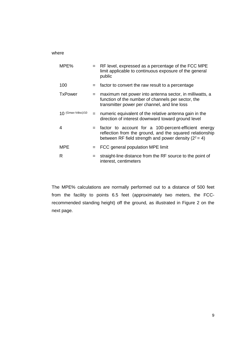#### where

| MPE%               |     | $=$ RF level, expressed as a percentage of the FCC MPE<br>limit applicable to continuous exposure of the general<br>public                                                  |
|--------------------|-----|-----------------------------------------------------------------------------------------------------------------------------------------------------------------------------|
| 100                |     | factor to convert the raw result to a percentage                                                                                                                            |
| <b>TxPower</b>     |     | maximum net power into antenna sector, in milliwatts, a<br>function of the number of channels per sector, the<br>transmitter power per channel, and line loss               |
| 10 (Gmax-Vdisc)/10 | $=$ | numeric equivalent of the relative antenna gain in the<br>direction of interest downward toward ground level                                                                |
| 4                  |     | factor to account for a 100-percent-efficient energy<br>reflection from the ground, and the squared relationship<br>between RF field strength and power density $(2^2 = 4)$ |
| <b>MPE</b>         |     | FCC general population MPE limit                                                                                                                                            |
| R                  |     | straight-line distance from the RF source to the point of<br>interest, centimeters                                                                                          |

The MPE% calculations are normally performed out to a distance of 500 feet from the facility to points 6.5 feet (approximately two meters, the FCCrecommended standing height) off the ground, as illustrated in Figure 2 on the next page.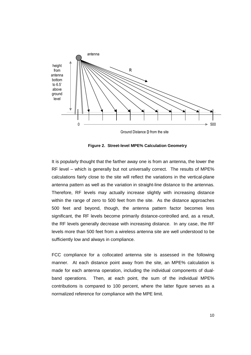

**Figure 2. Street-level MPE% Calculation Geometry** 

It is popularly thought that the farther away one is from an antenna, the lower the RF level – which is generally but not universally correct. The results of MPE% calculations fairly close to the site will reflect the variations in the vertical-plane antenna pattern as well as the variation in straight-line distance to the antennas. Therefore, RF levels may actually increase slightly with increasing distance within the range of zero to 500 feet from the site. As the distance approaches 500 feet and beyond, though, the antenna pattern factor becomes less significant, the RF levels become primarily distance-controlled and, as a result, the RF levels generally decrease with increasing distance. In any case, the RF levels more than 500 feet from a wireless antenna site are well understood to be sufficiently low and always in compliance.

FCC compliance for a collocated antenna site is assessed in the following manner. At each distance point away from the site, an MPE% calculation is made for each antenna operation, including the individual components of dualband operations. Then, at each point, the sum of the individual MPE% contributions is compared to 100 percent, where the latter figure serves as a normalized reference for compliance with the MPE limit.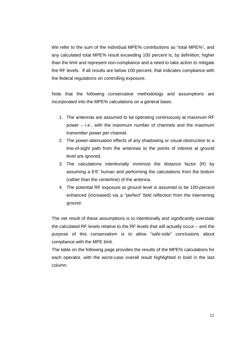We refer to the sum of the individual MPE% contributions as "total MPE%", and any calculated total MPE% result exceeding 100 percent is, by definition, higher than the limit and represent non-compliance and a need to take action to mitigate the RF levels. If all results are below 100 percent, that indicates compliance with the federal regulations on controlling exposure.

Note that the following conservative methodology and assumptions are incorporated into the MPE% calculations on a general basis:

- 1. The antennas are assumed to be operating continuously at maximum RF power – i.e., with the maximum number of channels and the maximum transmitter power per channel.
- 2. The power-attenuation effects of any shadowing or visual obstruction to a line-of-sight path from the antennas to the points of interest at ground level are ignored.
- 3. The calculations intentionally minimize the distance factor (R) by assuming a 6'6" human and performing the calculations from the bottom (rather than the centerline) of the antenna.
- 4. The potential RF exposure at ground level is assumed to be 100-percent enhanced (increased) via a "perfect" field reflection from the intervening ground.

The net result of these assumptions is to intentionally and significantly overstate the calculated RF levels relative to the RF levels that will actually occur – and the purpose of this conservatism is to allow "safe-side" conclusions about compliance with the MPE limit.

The table on the following page provides the results of the MPE% calculations for each operator, with the worst-case overall result highlighted in bold in the last column.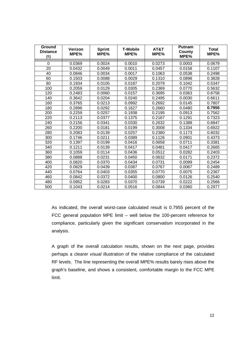| Ground<br><b>Distance</b><br>(f <sup>t</sup> ) | Verizon<br>MPE% | <b>Sprint</b><br>MPE% | <b>T-Mobile</b><br>MPE% | AT&T<br>MPE% | <b>Putnam</b><br>County<br>MPE% | <b>Total</b><br>MPE% |
|------------------------------------------------|-----------------|-----------------------|-------------------------|--------------|---------------------------------|----------------------|
| 0                                              | 0.0369          | 0.0024                | 0.0010                  | 0.0273       | 0.0003                          | 0.0679               |
| 20                                             | 0.0432          | 0.0049                | 0.0011                  | 0.0457       | 0.0158                          | 0.1107               |
| 40                                             | 0.0846          | 0.0034                | 0.0017                  | 0.1063       | 0.0538                          | 0.2498               |
| 60                                             | 0.1503          | 0.0088                | 0.0029                  | 0.1310       | 0.0898                          | 0.3828               |
| 80                                             | 0.1934          | 0.0105                | 0.0187                  | 0.2079       | 0.1042                          | 0.5347               |
| 100                                            | 0.2059          | 0.0129                | 0.0305                  | 0.2369       | 0.0770                          | 0.5632               |
| 120                                            | 0.2483          | 0.0060                | 0.0157                  | 0.3695       | 0.0363                          | 0.6758               |
| 140                                            | 0.3642          | 0.0204                | 0.0240                  | 0.2495       | 0.0030                          | 0.6611               |
| 160                                            | 0.3765          | 0.0213                | 0.0992                  | 0.2692       | 0.0145                          | 0.7807               |
| 180                                            | 0.2896          | 0.0292                | 0.1627                  | 0.2660       | 0.0480                          | 0.7955               |
| 200                                            | 0.2259          | 0.0257                | 0.1938                  | 0.2195       | 0.0913                          | 0.7562               |
| 220                                            | 0.2113          | 0.0377                | 0.1375                  | 0.2167       | 0.1291                          | 0.7323               |
| 240                                            | 0.2156          | 0.0341                | 0.0330                  | 0.2632       | 0.1388                          | 0.6847               |
| 260                                            | 0.2200          | 0.0181                | 0.0199                  | 0.3008       | 0.1334                          | 0.6922               |
| 280                                            | 0.2083          | 0.0139                | 0.0257                  | 0.2380       | 0.1173                          | 0.6032               |
| 300                                            | 0.1746          | 0.0211                | 0.0389                  | 0.1126       | 0.0901                          | 0.4373               |
| 320                                            | 0.1397          | 0.0199                | 0.0416                  | 0.0658       | 0.0711                          | 0.3381               |
| 340                                            | 0.1211          | 0.0139                | 0.0417                  | 0.0481       | 0.0417                          | 0.2665               |
| 360                                            | 0.1059          | 0.0114                | 0.0436                  | 0.0512       | 0.0282                          | 0.2403               |
| 380                                            | 0.0888          | 0.0231                | 0.0450                  | 0.0632       | 0.0171                          | 0.2372               |
| 400                                            | 0.0820          | 0.0370                | 0.0434                  | 0.0731       | 0.0099                          | 0.2454               |
| 420                                            | 0.0829          | 0.0439                | 0.0387                  | 0.0767       | 0.0067                          | 0.2489               |
| 440                                            | 0.0764          | 0.0403                | 0.0355                  | 0.0770       | 0.0075                          | 0.2367               |
| 460                                            | 0.0842          | 0.0372                | 0.0400                  | 0.0800       | 0.0126                          | 0.2540               |
| 480                                            | 0.0952          | 0.0283                | 0.0370                  | 0.0739       | 0.0222                          | 0.2566               |
| 500                                            | 0.1043          | 0.0214                | 0.0516                  | 0.0844       | 0.0360                          | 0.2977               |

As indicated, the overall worst-case calculated result is 0.7955 percent of the FCC general population MPE limit – well below the 100-percent reference for compliance, particularly given the significant conservatism incorporated in the analysis.

A graph of the overall calculation results, shown on the next page, provides perhaps a clearer visual illustration of the relative compliance of the calculated RF levels. The line representing the overall MPE% results barely rises above the graph's baseline, and shows a consistent, comfortable margin to the FCC MPE limit.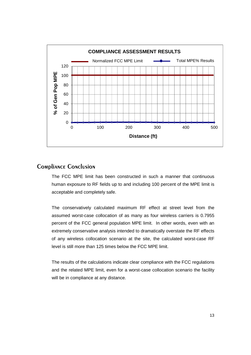

#### Compliance Conclusion

The FCC MPE limit has been constructed in such a manner that continuous human exposure to RF fields up to and including 100 percent of the MPE limit is acceptable and completely safe.

The conservatively calculated maximum RF effect at street level from the assumed worst-case collocation of as many as four wireless carriers is 0.7955 percent of the FCC general population MPE limit. In other words, even with an extremely conservative analysis intended to dramatically overstate the RF effects of any wireless collocation scenario at the site, the calculated worst-case RF level is still more than 125 times below the FCC MPE limit.

The results of the calculations indicate clear compliance with the FCC regulations and the related MPE limit, even for a worst-case collocation scenario the facility will be in compliance at any distance.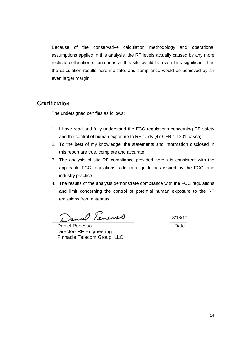Because of the conservative calculation methodology and operational assumptions applied in this analysis, the RF levels actually caused by any more realistic collocation of antennas at this site would be even less significant than the calculation results here indicate, and compliance would be achieved by an even larger margin.

#### **CERTIFICATION**

The undersigned certifies as follows:

- 1. I have read and fully understand the FCC regulations concerning RF safety and the control of human exposure to RF fields (47 CFR 1.1301 et seq).
- 2. To the best of my knowledge, the statements and information disclosed in this report are true, complete and accurate.
- 3. The analysis of site RF compliance provided herein is consistent with the applicable FCC regulations, additional guidelines issued by the FCC, and industry practice.
- 4. The results of the analysis demonstrate compliance with the FCC regulations and limit concerning the control of potential human exposure to the RF emissions from antennas.

\_\_\_\_\_\_\_\_\_\_\_\_\_\_\_\_\_\_\_\_\_\_\_\_\_\_\_\_\_\_\_\_\_\_\_\_\_\_\_\_\_\_\_\_ \_\_\_\_\_\_\_\_\_

Daniel Penesso **Date** Director- RF Engineering Pinnacle Telecom Group, LLC

8/18/17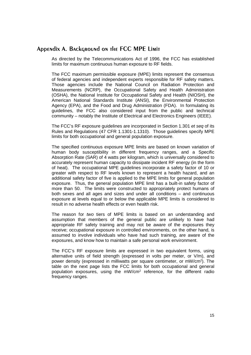#### Appendix A. Background on the FCC MPE Limit

As directed by the Telecommunications Act of 1996, the FCC has established limits for maximum continuous human exposure to RF fields.

The FCC maximum permissible exposure (MPE) limits represent the consensus of federal agencies and independent experts responsible for RF safety matters. Those agencies include the National Council on Radiation Protection and Measurements (NCRP), the Occupational Safety and Health Administration (OSHA), the National Institute for Occupational Safety and Health (NIOSH), the American National Standards Institute (ANSI), the Environmental Protection Agency (EPA), and the Food and Drug Administration (FDA). In formulating its guidelines, the FCC also considered input from the public and technical community – notably the Institute of Electrical and Electronics Engineers (IEEE).

The FCC's RF exposure guidelines are incorporated in Section 1.301 et seq of its Rules and Regulations (47 CFR 1.1301-1.1310). Those guidelines specify MPE limits for both occupational and general population exposure.

The specified continuous exposure MPE limits are based on known variation of human body susceptibility in different frequency ranges, and a Specific Absorption Rate (SAR) of 4 watts per kilogram, which is universally considered to accurately represent human capacity to dissipate incident RF energy (in the form of heat). The occupational MPE guidelines incorporate a safety factor of 10 or greater with respect to RF levels known to represent a health hazard, and an additional safety factor of five is applied to the MPE limits for general population exposure. Thus, the general population MPE limit has a built-in safety factor of more than 50. The limits were constructed to appropriately protect humans of both sexes and all ages and sizes and under all conditions – and continuous exposure at levels equal to or below the applicable MPE limits is considered to result in no adverse health effects or even health risk.

The reason for two tiers of MPE limits is based on an understanding and assumption that members of the general public are unlikely to have had appropriate RF safety training and may not be aware of the exposures they receive; occupational exposure in controlled environments, on the other hand, is assumed to involve individuals who have had such training, are aware of the exposures, and know how to maintain a safe personal work environment.

The FCC's RF exposure limits are expressed in two equivalent forms, using alternative units of field strength (expressed in volts per meter, or V/m), and power density (expressed in milliwatts per square centimeter, or mW/cm<sup>2</sup> ). The table on the next page lists the FCC limits for both occupational and general population exposures, using the mW/cm<sup>2</sup> reference, for the different radio frequency ranges.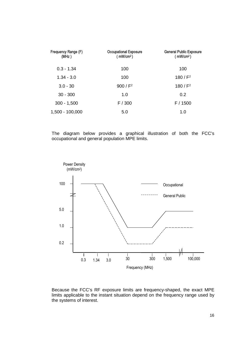| Frequency Range (F)<br>(MHz) | <b>Occupational Exposure</b><br>( $mW/cm2$ ) | <b>General Public Exposure</b><br>(mW/cm <sup>2</sup> ) |
|------------------------------|----------------------------------------------|---------------------------------------------------------|
| $0.3 - 1.34$                 | 100                                          | 100                                                     |
| $1.34 - 3.0$                 | 100                                          | 180 / $F^2$                                             |
| $3.0 - 30$                   | 900 / $F^2$                                  | 180 / $F^2$                                             |
| $30 - 300$                   | 1.0                                          | 0.2                                                     |
| $300 - 1,500$                | F / 300                                      | F / 1500                                                |
| 1,500 - 100,000              | 5.0                                          | 1.0                                                     |

The diagram below provides a graphical illustration of both the FCC's occupational and general population MPE limits.



Because the FCC's RF exposure limits are frequency-shaped, the exact MPE limits applicable to the instant situation depend on the frequency range used by the systems of interest.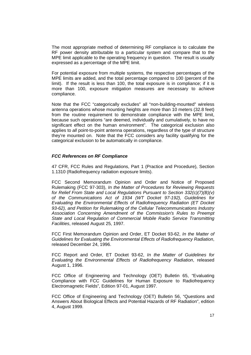The most appropriate method of determining RF compliance is to calculate the RF power density attributable to a particular system and compare that to the MPE limit applicable to the operating frequency in question. The result is usually expressed as a percentage of the MPE limit.

For potential exposure from multiple systems, the respective percentages of the MPE limits are added, and the total percentage compared to 100 (percent of the limit). If the result is less than 100, the total exposure is in compliance; if it is more than 100, exposure mitigation measures are necessary to achieve compliance.

Note that the FCC "categorically excludes" all "non-building-mounted" wireless antenna operations whose mounting heights are more than 10 meters (32.8 feet) from the routine requirement to demonstrate compliance with the MPE limit, because such operations "are deemed, individually and cumulatively, to have no significant effect on the human environment". The categorical exclusion also applies to all point-to-point antenna operations, regardless of the type of structure they're mounted on. Note that the FCC considers any facility qualifying for the categorical exclusion to be automatically in compliance.

#### **FCC References on RF Compliance**

47 CFR, FCC Rules and Regulations, Part 1 (Practice and Procedure), Section 1.1310 (Radiofrequency radiation exposure limits).

FCC Second Memorandum Opinion and Order and Notice of Proposed Rulemaking (FCC 97-303), In the Matter of Procedures for Reviewing Requests for Relief From State and Local Regulations Pursuant to Section 332(c)(7)(B)(v) of the Communications Act of 1934 (WT Docket 97-192), Guidelines for Evaluating the Environmental Effects of Radiofrequency Radiation (ET Docket 93-62), and Petition for Rulemaking of the Cellular Telecommunications Industry Association Concerning Amendment of the Commission's Rules to Preempt State and Local Regulation of Commercial Mobile Radio Service Transmitting Facilities, released August 25, 1997.

FCC First Memorandum Opinion and Order, ET Docket 93-62, In the Matter of Guidelines for Evaluating the Environmental Effects of Radiofrequency Radiation, released December 24, 1996.

FCC Report and Order, ET Docket 93-62, In the Matter of Guidelines for Evaluating the Environmental Effects of Radiofrequency Radiation, released August 1, 1996.

FCC Office of Engineering and Technology (OET) Bulletin 65, "Evaluating Compliance with FCC Guidelines for Human Exposure to Radiofrequency Electromagnetic Fields", Edition 97-01, August 1997.

FCC Office of Engineering and Technology (OET) Bulletin 56, "Questions and Answers About Biological Effects and Potential Hazards of RF Radiation", edition 4, August 1999.